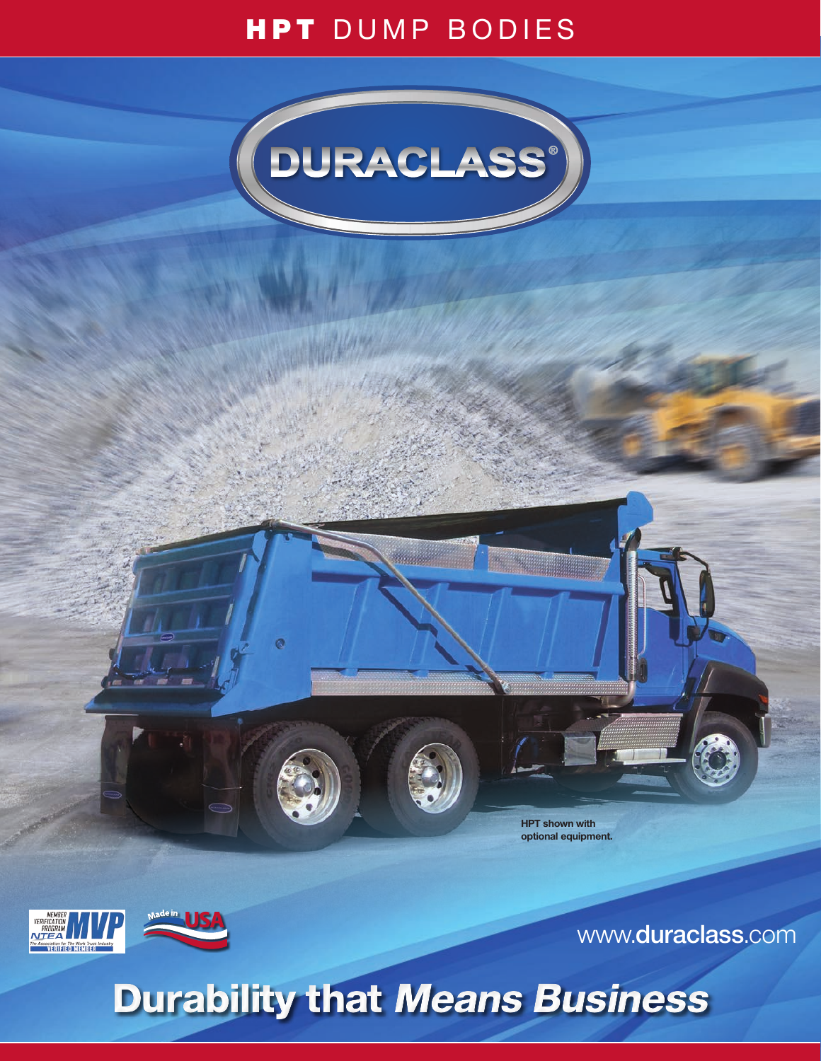# HPT DUMP BODIES



Maggi

ø

**HPT shown with optional equipment.** 





www.**duraclass**.com

# Durability that Means Business